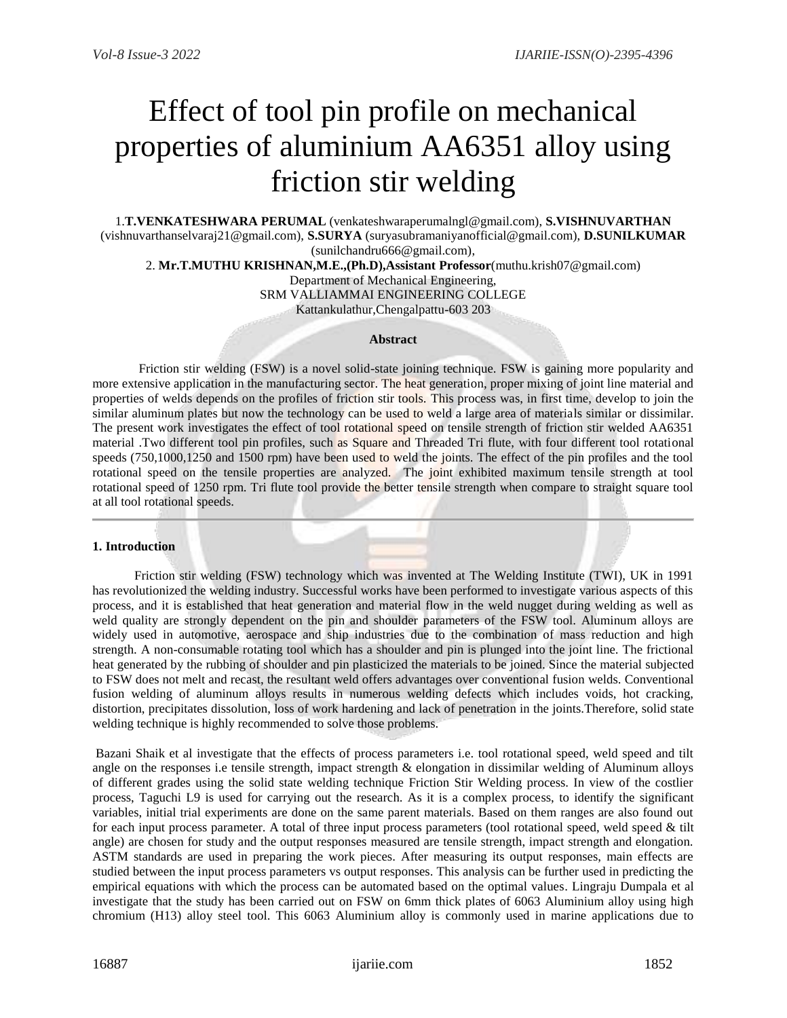# Effect of tool pin profile on mechanical properties of aluminium AA6351 alloy using friction stir welding

1.**T.VENKATESHWARA PERUMAL** [\(venkateshwaraperumalngl@gmail.com\),](mailto:venkateshwaraperumalngl@gmail.com),%20S.VISHNUVARTHAN%20(vishnuvarthanselvaraj21@gmail.com),%20S.SURYA%20(suryasubramaniyanofficial@gmail.com),%20D.SUNILKUMAR%20(sunilchandru666@gmail.com)) **S.VISHNUVARTHAN** (vishnuvarthanselvaraj21@gmail.com), **S.SURYA** [\(suryasubramaniyanofficial@gmail.com\),](mailto:venkateshwaraperumalngl@gmail.com),%20S.VISHNUVARTHAN%20(vishnuvarthanselvaraj21@gmail.com),%20S.SURYA%20(suryasubramaniyanofficial@gmail.com),%20D.SUNILKUMAR%20(sunilchandru666@gmail.com)) **D.SUNILKUMAR** [\(sunilchandru666@gmail.com\),](mailto:venkateshwaraperumalngl@gmail.com),%20S.VISHNUVARTHAN%20(vishnuvarthanselvaraj21@gmail.com),%20S.SURYA%20(suryasubramaniyanofficial@gmail.com),%20D.SUNILKUMAR%20(sunilchandru666@gmail.com))

2. **Mr.T.MUTHU KRISHNAN,M.E.,(Ph.D),Assistant Professor**(muthu.krish07@gmail.com)

Department of Mechanical Engineering,

SRM VALLIAMMAI ENGINEERING COLLEGE Kattankulathur,Chengalpattu-603 203

#### **Abstract**

Friction stir welding (FSW) is a novel solid-state joining technique. FSW is gaining more popularity and more extensive application in the manufacturing sector. The heat generation, proper mixing of joint line material and properties of welds depends on the profiles of friction stir tools. This process was, in first time, develop to join the similar aluminum plates but now the technology can be used to weld a large area of materials similar or dissimilar. The present work investigates the effect of tool rotational speed on tensile strength of friction stir welded AA6351 material .Two different tool pin profiles, such as Square and Threaded Tri flute, with four different tool rotational speeds (750,1000,1250 and 1500 rpm) have been used to weld the joints. The effect of the pin profiles and the tool rotational speed on the tensile properties are analyzed. The joint exhibited maximum tensile strength at tool rotational speed of 1250 rpm. Tri flute tool provide the better tensile strength when compare to straight square tool at all tool rotational speeds.

#### **1. Introduction**

 Friction stir welding (FSW) technology which was invented at The Welding Institute (TWI), UK in 1991 has revolutionized the welding industry. Successful works have been performed to investigate various aspects of this process, and it is established that heat generation and material flow in the weld nugget during welding as well as weld quality are strongly dependent on the pin and shoulder parameters of the FSW tool. Aluminum alloys are widely used in automotive, aerospace and ship industries due to the combination of mass reduction and high strength. A non-consumable rotating tool which has a shoulder and pin is plunged into the joint line. The frictional heat generated by the rubbing of shoulder and pin plasticized the materials to be joined. Since the material subjected to FSW does not melt and recast, the resultant weld offers advantages over conventional fusion welds. Conventional fusion welding of aluminum alloys results in numerous welding defects which includes voids, hot cracking, distortion, precipitates dissolution, loss of work hardening and lack of penetration in the joints.Therefore, solid state welding technique is highly recommended to solve those problems.

Bazani Shaik et al investigate that the effects of process parameters i.e. tool rotational speed, weld speed and tilt angle on the responses i.e tensile strength, impact strength & elongation in dissimilar welding of Aluminum alloys of different grades using the solid state welding technique Friction Stir Welding process. In view of the costlier process, Taguchi L9 is used for carrying out the research. As it is a complex process, to identify the significant variables, initial trial experiments are done on the same parent materials. Based on them ranges are also found out for each input process parameter. A total of three input process parameters (tool rotational speed, weld speed & tilt angle) are chosen for study and the output responses measured are tensile strength, impact strength and elongation. ASTM standards are used in preparing the work pieces. After measuring its output responses, main effects are studied between the input process parameters vs output responses. This analysis can be further used in predicting the empirical equations with which the process can be automated based on the optimal values. Lingraju Dumpala et al investigate that the study has been carried out on FSW on 6mm thick plates of 6063 Aluminium alloy using high chromium (H13) alloy steel tool. This 6063 Aluminium alloy is commonly used in marine applications due to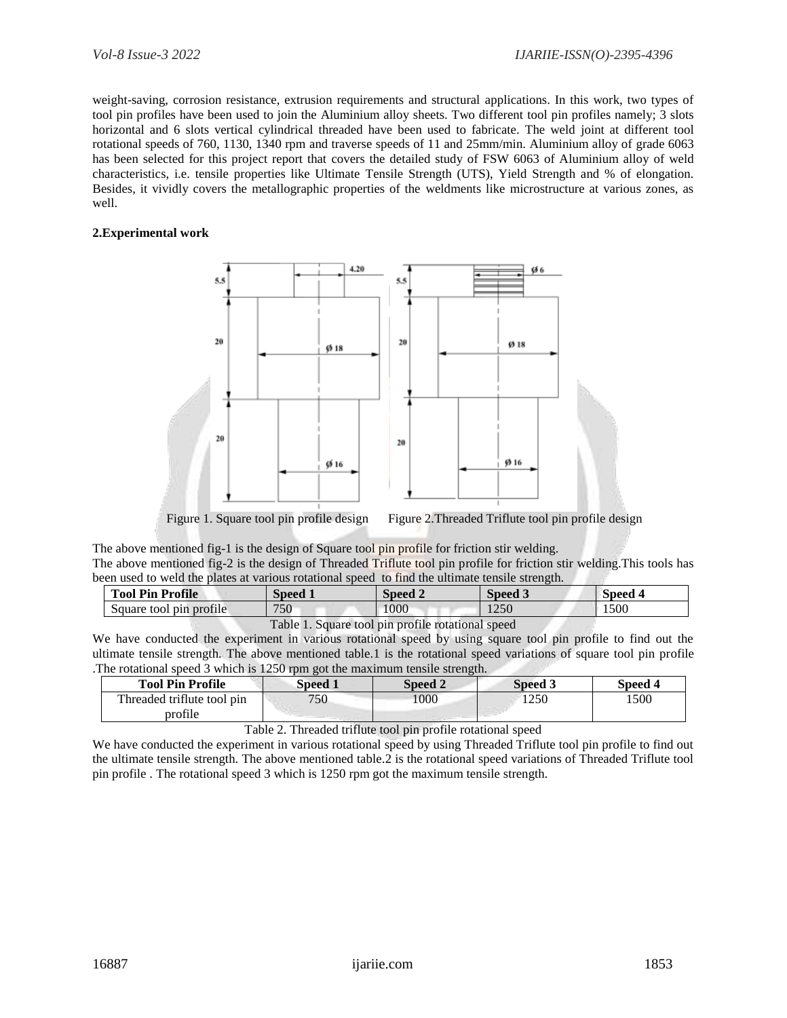weight-saving, corrosion resistance, extrusion requirements and structural applications. In this work, two types of tool pin profiles have been used to join the Aluminium alloy sheets. Two different tool pin profiles namely; 3 slots horizontal and 6 slots vertical cylindrical threaded have been used to fabricate. The weld joint at different tool rotational speeds of 760, 1130, 1340 rpm and traverse speeds of 11 and 25mm/min. Aluminium alloy of grade 6063 has been selected for this project report that covers the detailed study of FSW 6063 of Aluminium alloy of weld characteristics, i.e. tensile properties like Ultimate Tensile Strength (UTS), Yield Strength and % of elongation. Besides, it vividly covers the metallographic properties of the weldments like microstructure at various zones, as well.

## **2.Experimental work**



Figure 1. Square tool pin profile design Figure 2. Threaded Triflute tool pin profile design

The above mentioned fig-1 is the design of Square tool pin profile for friction stir welding.

The above mentioned fig-2 is the design of Threaded Triflute tool pin profile for friction stir welding.This tools has been used to weld the plates at various rotational speed to find the ultimate tensile strength.

| <b>Tool Pin Profile</b> | <b>Speed 1</b>                                    | <b>Speed 2</b> | Speed 3 | <b>Speed 4</b> |  |
|-------------------------|---------------------------------------------------|----------------|---------|----------------|--|
| Square tool pin profile | 750                                               | 1000           | 1250    | 1500           |  |
|                         | Table 1. Square tool pin profile rotational speed |                |         |                |  |

We have conducted the experiment in various rotational speed by using square tool pin profile to find out the ultimate tensile strength. The above mentioned table.1 is the rotational speed variations of square tool pin profile .The rotational speed 3 which is 1250 rpm got the maximum tensile strength.

| <b>Tool Pin Profile</b>               | Speed 1 | Speed 2 | Speed 3 | Speed 4 |
|---------------------------------------|---------|---------|---------|---------|
| Threaded triflute tool pin<br>profile | 750     | 1000    | 250     | 500     |

Table 2. Threaded triflute tool pin profile rotational speed

We have conducted the experiment in various rotational speed by using Threaded Triflute tool pin profile to find out the ultimate tensile strength. The above mentioned table.2 is the rotational speed variations of Threaded Triflute tool pin profile . The rotational speed 3 which is 1250 rpm got the maximum tensile strength.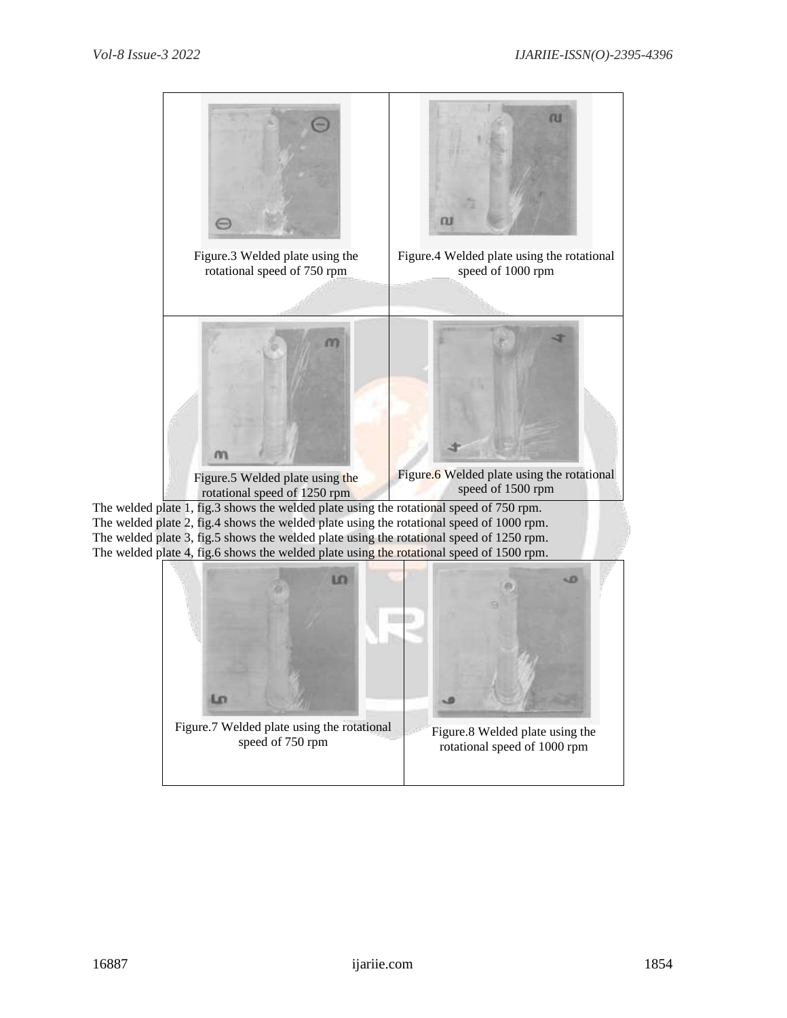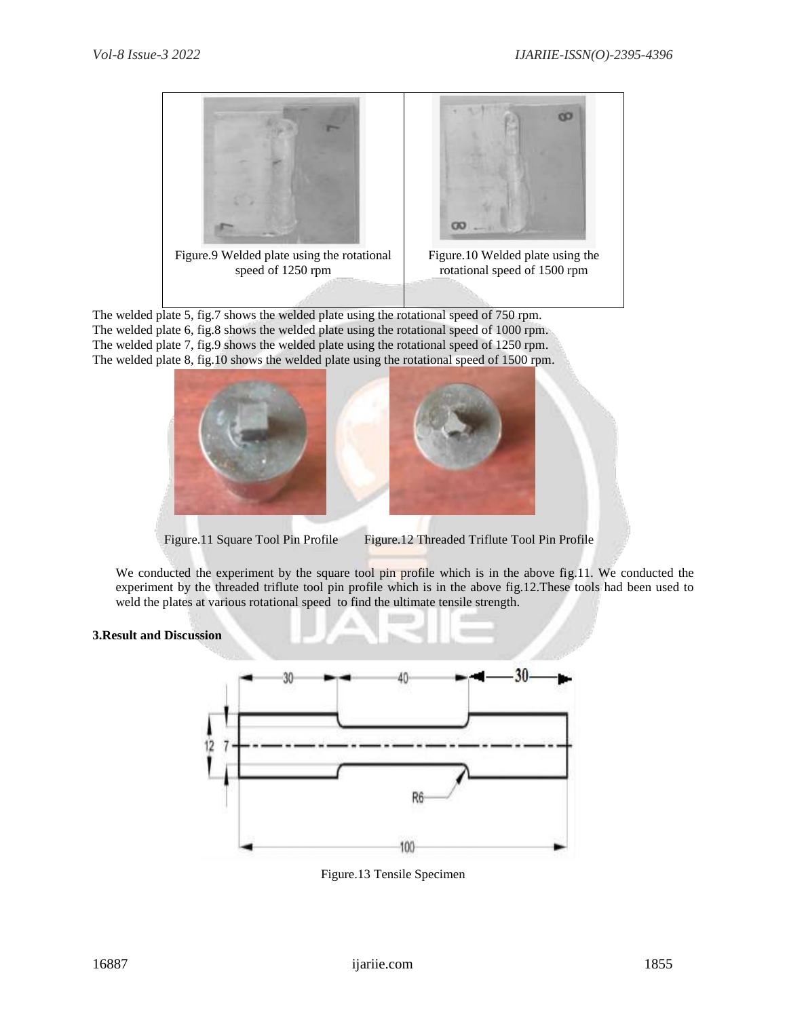

The welded plate 5, fig.7 shows the welded plate using the rotational speed of 750 rpm. The welded plate 6, fig.8 shows the welded plate using the rotational speed of 1000 rpm. The welded plate 7, fig.9 shows the welded plate using the rotational speed of 1250 rpm. The welded plate 8, fig.10 shows the welded plate using the rotational speed of 1500 rpm.



Figure.11 Square Tool Pin Profile Figure.12 Threaded Triflute Tool Pin Profile

We conducted the experiment by the square tool pin profile which is in the above fig.11. We conducted the experiment by the threaded triflute tool pin profile which is in the above fig.12.These tools had been used to weld the plates at various rotational speed to find the ultimate tensile strength.

# **3.Result and Discussion**



Figure.13 Tensile Specimen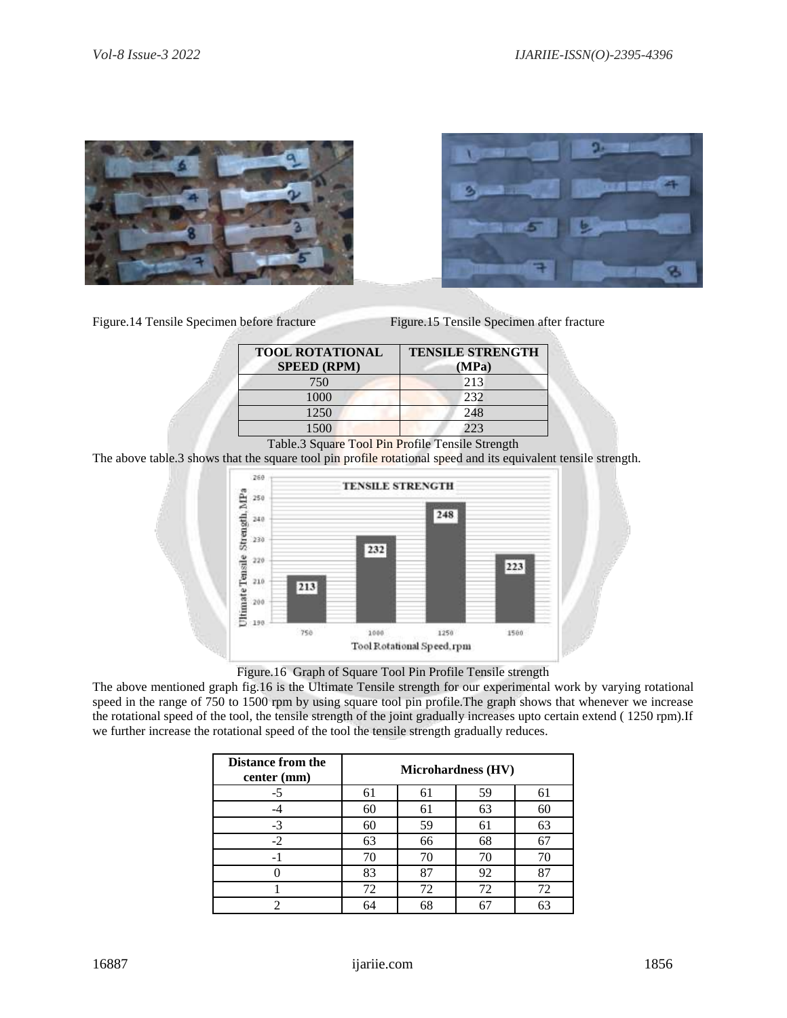





| <b>TOOL ROTATIONAL</b><br><b>SPEED (RPM)</b> | <b>TENSILE STRENGTH</b><br>(MPa) |  |  |
|----------------------------------------------|----------------------------------|--|--|
| 750                                          | 213                              |  |  |
| 1000                                         | 232                              |  |  |
| 1250                                         | 248                              |  |  |
| 1500                                         | 223                              |  |  |

Table.3 Square Tool Pin Profile Tensile Strength

The above table.3 shows that the square tool pin profile rotational speed and its equivalent tensile strength.





The above mentioned graph fig.16 is the Ultimate Tensile strength for our experimental work by varying rotational speed in the range of 750 to 1500 rpm by using square tool pin profile.The graph shows that whenever we increase the rotational speed of the tool, the tensile strength of the joint gradually increases upto certain extend ( 1250 rpm).If we further increase the rotational speed of the tool the tensile strength gradually reduces.

| <b>Distance from the</b><br>center (mm) | <b>Microhardness (HV)</b> |    |    |    |
|-----------------------------------------|---------------------------|----|----|----|
| -5                                      | 61                        | 61 | 59 | 61 |
|                                         | 60                        | 61 | 63 | 60 |
| $-3$                                    | 60                        | 59 | 61 | 63 |
| $-2$                                    | 63                        | 66 | 68 | 67 |
| - 1                                     | 70                        | 70 | 70 |    |
|                                         | 83                        | 87 | 92 | 87 |
|                                         | 72                        | 72 | 72 | 72 |
|                                         | 64                        | 68 | 67 | 63 |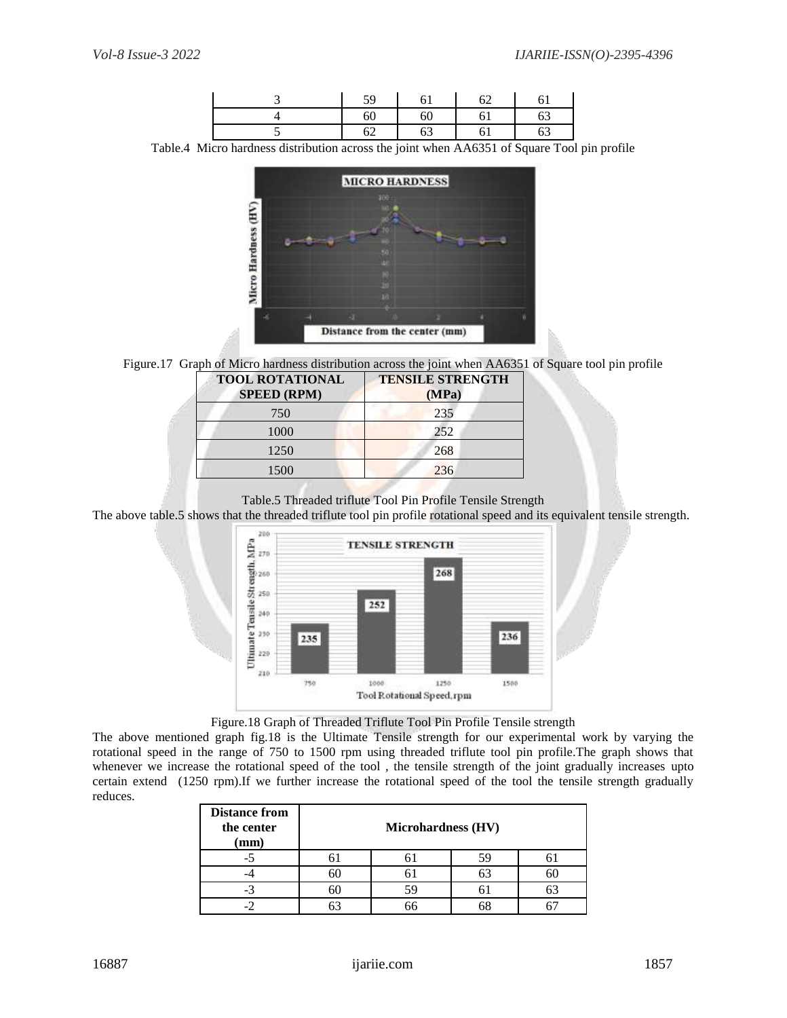|  | $\epsilon$ |      |  |
|--|------------|------|--|
|  | бſ         | ገ! ነ |  |
|  | ∪∠         |      |  |

Table.4 Micro hardness distribution across the joint when AA6351 of Square Tool pin profile





| <b>TOOL ROTATIONAL</b><br><b>SPEED (RPM)</b> | <b>TENSILE STRENGTH</b><br>(MPa) |
|----------------------------------------------|----------------------------------|
| 750                                          | 235                              |
| 1000                                         | 252                              |
| 1250                                         | 268                              |
| 1500                                         | 236                              |
|                                              |                                  |

Table.5 Threaded triflute Tool Pin Profile Tensile Strength

The above table.5 shows that the threaded triflute tool pin profile rotational speed and its equivalent tensile strength.



Figure.18 Graph of Threaded Triflute Tool Pin Profile Tensile strength

The above mentioned graph fig.18 is the Ultimate Tensile strength for our experimental work by varying the rotational speed in the range of 750 to 1500 rpm using threaded triflute tool pin profile.The graph shows that whenever we increase the rotational speed of the tool, the tensile strength of the joint gradually increases upto certain extend (1250 rpm).If we further increase the rotational speed of the tool the tensile strength gradually reduces.

| <b>Distance from</b><br>the center<br>$(\mathbf{mm})$ |    | <b>Microhardness (HV)</b> |    |    |
|-------------------------------------------------------|----|---------------------------|----|----|
| -7                                                    |    |                           |    |    |
|                                                       | ЬU |                           | 63 | 6C |
|                                                       |    | 59                        |    |    |
|                                                       |    |                           |    |    |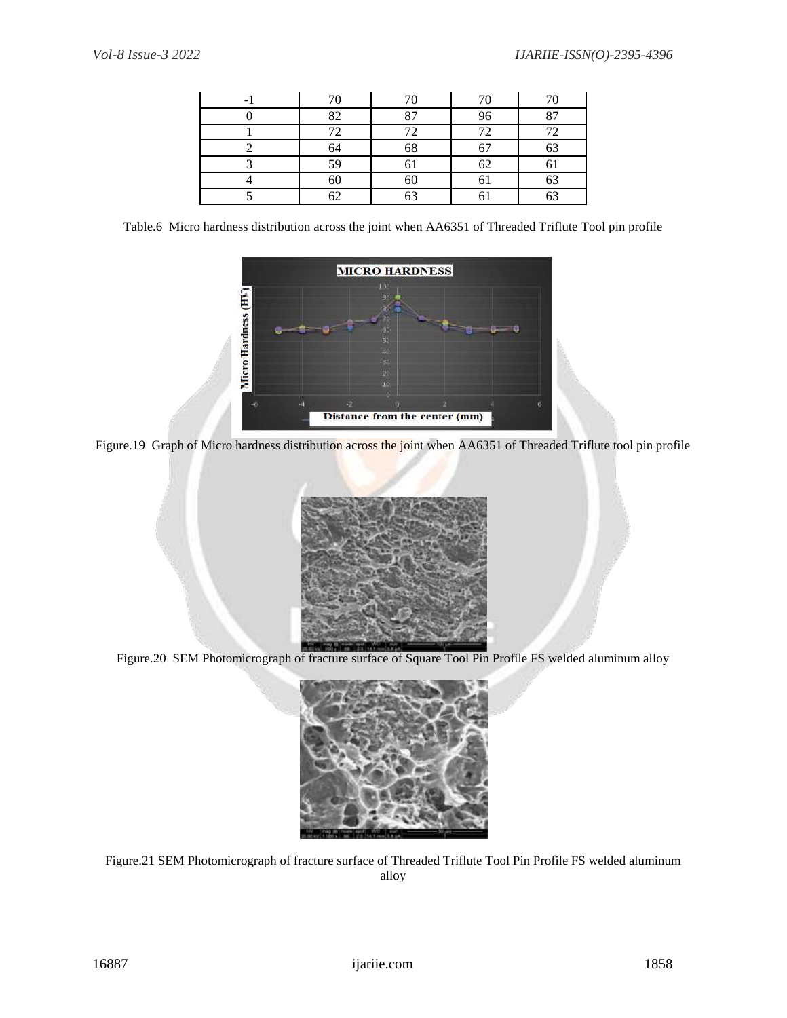| 70 | 70 | 70 | 70       |
|----|----|----|----------|
| 82 | 87 | 96 | 87       |
| 72 | 72 | 72 | 72       |
| 64 | 68 | 67 | 63       |
| 59 | ΟI | 62 | 01       |
| 60 | 60 | 61 | 63       |
| 62 | 63 |    | c٦<br>υJ |

Table.6 Micro hardness distribution across the joint when AA6351 of Threaded Triflute Tool pin profile



Figure.19 Graph of Micro hardness distribution across the joint when AA6351 of Threaded Triflute tool pin profile



Figure.20 SEM Photomicrograph of fracture surface of Square Tool Pin Profile FS welded aluminum alloy



Figure.21 SEM Photomicrograph of fracture surface of Threaded Triflute Tool Pin Profile FS welded aluminum alloy